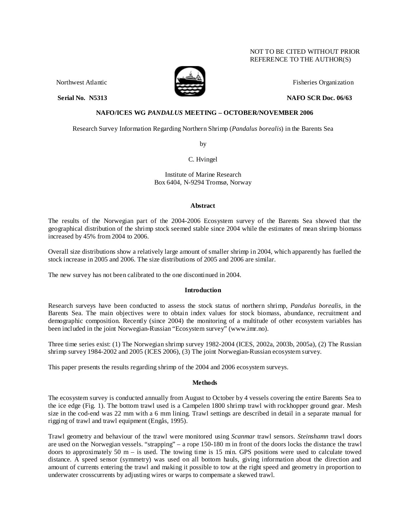# NOT TO BE CITED WITHOUT PRIOR REFERENCE TO THE AUTHOR(S)



Northwest Atlantic Fisheries Organization

**Serial No. 35313** NAFO SCR Doc. 06/63

# **NAFO/ICES WG** *PANDALUS* **MEETING – OCTOBER/NOVEMBER 2006**

Research Survey Information Regarding Northern Shrimp (*Pandalus borealis*) in the Barents Sea

by

C. Hvingel

Institute of Marine Research Box 6404, N-9294 Tromsø, Norway

#### **Abstract**

The results of the Norwegian part of the 2004-2006 Ecosystem survey of the Barents Sea showed that the geographical distribution of the shrimp stock seemed stable since 2004 while the estimates of mean shrimp biomass increased by 45% from 2004 to 2006.

Overall size distributions show a relatively large amount of smaller shrimp in 2004, which apparently has fuelled the stock increase in 2005 and 2006. The size distributions of 2005 and 2006 are similar.

The new survey has not been calibrated to the one discontinued in 2004.

# **Introduction**

Research surveys have been conducted to assess the stock status of northern shrimp, *Pandalus borealis*, in the Barents Sea. The main objectives were to obtain index values for stock biomass, abundance, recruitment and demographic composition. Recently (since 2004) the monitoring of a multitude of other ecosystem variables has been included in the joint Norwegian-Russian "Ecosystem survey" (www.imr.no).

Three time series exist: (1) The Norwegian shrimp survey 1982-2004 (ICES, 2002a, 2003b, 2005a), (2) The Russian shrimp survey 1984-2002 and 2005 (ICES 2006), (3) The joint Norwegian-Russian ecosystem survey.

This paper presents the results regarding shrimp of the 2004 and 2006 ecosystem surveys.

# **Methods**

The ecosystem survey is conducted annually from August to October by 4 vessels covering the entire Barents Sea to the ice edge (Fig. 1). The bottom trawl used is a Campelen 1800 shrimp trawl with rockhopper ground gear. Mesh size in the cod-end was 22 mm with a 6 mm lining. Trawl settings are described in detail in a separate manual for rigging of trawl and trawl equipment (Engås, 1995).

Trawl geometry and behaviour of the trawl were monitored using *Scanmar* trawl sensors. *Steinshamn* trawl doors are used on the Norwegian vessels. "strapping" – a rope 150-180 m in front of the doors locks the distance the trawl doors to approximately 50  $m - i$ s used. The towing time is 15 min. GPS positions were used to calculate towed distance. A speed sensor (symmetry) was used on all bottom hauls, giving information about the direction and amount of currents entering the trawl and making it possible to tow at the right speed and geometry in proportion to underwater crosscurrents by adjusting wires or warps to compensate a skewed trawl.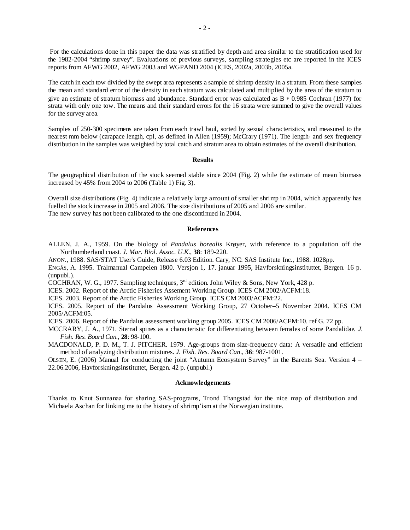For the calculations done in this paper the data was stratified by depth and area similar to the stratification used for the 1982-2004 "shrimp survey". Evaluations of previous surveys, sampling strategies etc are reported in the ICES reports from AFWG 2002, AFWG 2003 and WGPAND 2004 (ICES, 2002a, 2003b, 2005a.

The catch in each tow divided by the swept area represents a sample of shrimp density in a stratum. From these samples the mean and standard error of the density in each stratum was calculated and multiplied by the area of the stratum to give an estimate of stratum biomass and abundance. Standard error was calculated as B ∗ 0.985 Cochran (1977) for strata with only one tow. The means and their standard errors for the 16 strata were summed to give the overall values for the survey area.

Samples of 250-300 specimens are taken from each trawl haul, sorted by sexual characteristics, and measured to the nearest mm below (carapace length, cpl, as defined in Allen (1959); McCrary (1971). The length- and sex frequency distribution in the samples was weighted by total catch and stratum area to obtain estimates of the overall distribution.

#### **Results**

The geographical distribution of the stock seemed stable since 2004 (Fig. 2) while the estimate of mean biomass increased by 45% from 2004 to 2006 (Table 1) Fig. 3).

Overall size distributions (Fig. 4) indicate a relatively large amount of smaller shrimp in 2004, which apparently has fuelled the stock increase in 2005 and 2006. The size distributions of 2005 and 2006 are similar. The new survey has not been calibrated to the one discontinued in 2004.

#### **References**

ALLEN, J. A., 1959. On the biology of *Pandalus borealis* Krøyer, with reference to a population off the Northumberland coast*. J. Mar. Biol. Assoc. U.K*., **38**: 189-220.

ANON., 1988. SAS/STAT User's Guide, Release 6.03 Edition. Cary, NC: SAS Institute Inc., 1988. 1028pp.

ENGÅS, A. 1995. Trålmanual Campelen 1800. Versjon 1, 17. januar 1995, Havforskningsinstituttet, Bergen. 16 p. (unpubl.).

COCHRAN, W. G., 1977. Sampling techniques,  $3<sup>rd</sup>$  edition. John Wiley & Sons, New York, 428 p.

ICES. 2002. Report of the Arctic Fisheries Assement Working Group. ICES CM 2002/ACFM:18.

ICES. 2003. Report of the Arctic Fisheries Working Group. ICES CM 2003/ACFM:22.

ICES. 2005. Report of the Pandalus Assessment Working Group, 27 October–5 November 2004. ICES CM 2005/ACFM:05.

ICES. 2006. Report of the Pandalus assessment working group 2005. ICES CM 2006/ACFM:10. ref G. 72 pp.

MCCRARY, J. A., 1971. Sternal spines as a characteristic for differentiating between females of some Pandalidae*. J. Fish. Res. Board Can*., **28**: 98-100.

MACDONALD, P. D. M., T. J. PITCHER. 1979. Age-groups from size-frequency data: A versatile and efficient method of analyzing distribution mixtures. *J. Fish. Res. Board Can*., **36**: 987-1001.

OLSEN, E. (2006) Manual for conducting the joint "Autumn Ecosystem Survey" in the Barents Sea. Version 4 – 22.06.2006, Havforskningsinstituttet, Bergen. 42 p. (unpubl.)

#### **Acknowledgements**

Thanks to Knut Sunnanaa for sharing SAS-programs, Trond Thangstad for the nice map of distribution and Michaela Aschan for linking me to the history of shrimp'ism at the Norwegian institute.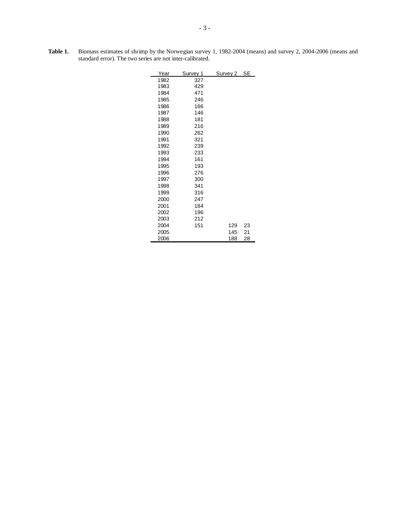| Year | Survey 1 | Survey 2 SE |    |
|------|----------|-------------|----|
| 1982 | 327      |             |    |
| 1983 | 429      |             |    |
| 1984 | 471      |             |    |
| 1985 | 246      |             |    |
| 1986 | 166      |             |    |
| 1987 | 146      |             |    |
| 1988 | 181      |             |    |
| 1989 | 216      |             |    |
| 1990 | 262      |             |    |
| 1991 | 321      |             |    |
| 1992 | 239      |             |    |
| 1993 | 233      |             |    |
| 1994 | 161      |             |    |
| 1995 | 193      |             |    |
| 1996 | 276      |             |    |
| 1997 | 300      |             |    |
| 1998 | 341      |             |    |
| 1999 | 316      |             |    |
| 2000 | 247      |             |    |
| 2001 | 184      |             |    |
| 2002 | 196      |             |    |
| 2003 | 212      |             |    |
| 2004 | 151      | 129         | 23 |
| 2005 |          | 145         | 21 |
| 2006 |          | 188         | 28 |

**Table 1.** Biomass estimates of shrimp by the Norwegian survey 1, 1982-2004 (means) and survey 2, 2004-2006 (means and standard error). The two series are not inter-calibrated.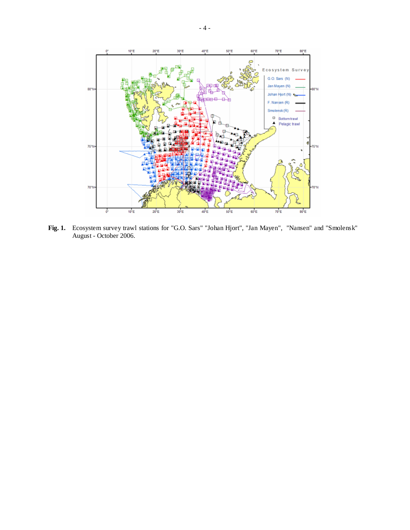

**Fig. 1.** Ecosystem survey trawl stations for "G.O. Sars" "Johan Hjort", "Jan Mayen", "Nansen" and "Smolensk" August - October 2006.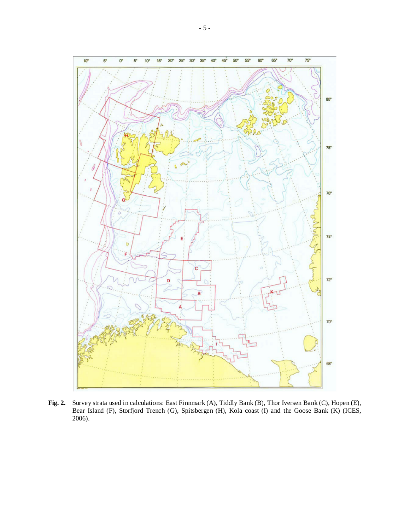

**Fig. 2.** Survey strata used in calculations: East Finnmark (A), Tiddly Bank (B), Thor Iversen Bank (C), Hopen (E), Bear Island (F), Storfjord Trench (G), Spitsbergen (H), Kola coast (I) and the Goose Bank (K) (ICES, 2006).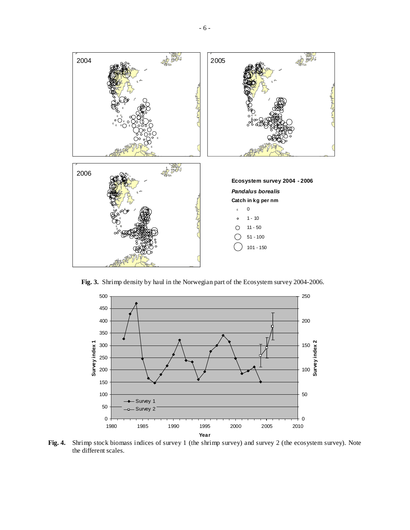

**Fig. 3.** Shrimp density by haul in the Norwegian part of the Ecosystem survey 2004-2006.



**Fig. 4.** Shrimp stock biomass indices of survey 1 (the shrimp survey) and survey 2 (the ecosystem survey). Note the different scales.